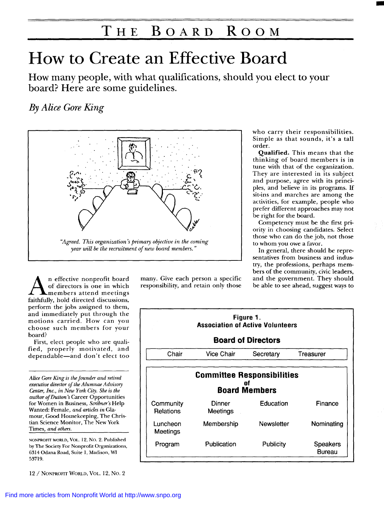# **THE BOARD ROOM**

# How to Create an Effective Board

How many people, with what qualifications, should you elect to your board? Here are some guidelines.

### *By Alice Gore King*



A members attend meetings faithfully, hold directed discussions, perform the jobs assigned to them, and immediately put through the motions carried. How can you choose such members for your board?

First, elect people who are qualified, properly motivated, and dependable—and don't elect too

*Alice tie King is th founder and retired executive director of the Alumnae Advismy Centm, Inc., in New York City. She is the author ofDutton's* Career Opportunities for Women in Business, Scribner's Help Wanted: Female, *and articles in* Glamour, Good Housekeeping, The Christian Science Monitor, The New York Times. *and others.*

NONPROFIT WORLD, VOL. 12, No. 2. Publisbed by The Society For Nonprofit Organizations, 6314 Odana Road, Suite 1, Madison, WI 53719.

12 / NONPROFIT WORLD, VOL. 12, NO. 2

n effective nonprofit board many. Give each person a specific and the government. They should<br>of directors is one in which responsibility, and retain only those be able to see ahead, suggest ways to of directors is one in which responsibility, and retain only those

who carry their responsibilities. Simple as that sounds, it's a tall order.

Qualified. This means that the thinking of board members is in tune with that of the organization. They are interested in its subject and purpose, agree with its principles, and believe in its programs. If sit-ins and marches are among the activities, for example, people who prefer different approaches may not be right for the board.

Competency must be the first priority in choosing candidates. Select those who can do the job, not those to whom you owe a favor.

In general, there should be representatives from business and industry, the professions, perhaps members of the community, civic leaders,

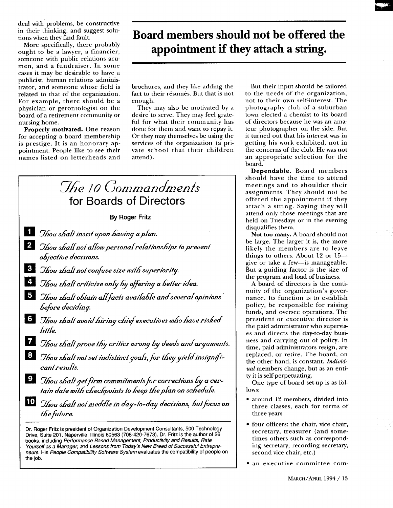deal with problems, be constructive in their thinking, and suggest solutions when they find fault.

More specifically, there probably ought to be a lawyer, a financier, someone with public relations acumen, and a fundraiser. In some cases it may be desirable to have a publicist, human relations administrator, and someone whose field is related to that of the organization. For example, there should be a physician or gerontologist on the board of a retirement community or nursing home.

Properly motivated. One reason for accepting a board membership is prestige. It is an honorary appointment. People like to see their names listed on letterheads and

## Board members should not be offered the appointment if they attach a string.

brochures, and they like adding the fact to their résumés. But that is not enough.

They may also be motivated by a desire to serve. They may feel grateful for what their community has done for them and want to repay it. Or they may themselves be using the services of the organization (a private school that their children attend).



books, including Performance Based Management, Productivity and Results, Rate Yourself as a Manager, and Lessons from Today's New Breed of Successful Entrepreneurs. His People Compatibility Software System evaluates the compatibility of people on the job.

But their input should be tailored to the needs of the organization, not to their own self-interest. The photography club of a suburban town elected a chemist to its board of directors because he was an amateur photographer on the side. But it turned out that his interest was in getting his work exhibited, not in the concerns of the club. He was not an appropriate selection for the board.

Dependable. Board members should have the time to attend meetings and to shoulder their assignments. They should not be offered the appointment if they attach a string. Saying they will attend only those meetings that are held on Tuesdays or in the evening disqualifies them.

Not too many. A board should not be large. The larger it is, the more likely the members are to leave things to others. About  $12$  or  $15$ give or take a few-is manageable. But a guiding factor is the size of the program and load of business.

A board of directors is the continuity of the organization's governance. Its function is to establish policy, be responsible for raising funds, and oversee operations. The president or executive director is the paid administrator who supervises and directs the day-to-day business and carrying out of policy. In time, paid administrators resign, are replaced, or retire. The board, on the other hand, is constant. Individual members change, but as an entity it is self-perpetuating.

One type of board set-up is as follows:

- · around 12 members, divided into three classes, each for terms of three years
- · four officers: the chair, vice chair, secretary, treasurer (and sometimes others such as corresponding secretary, recording secretary, second vice chair, etc.)
- · an executive committee com-